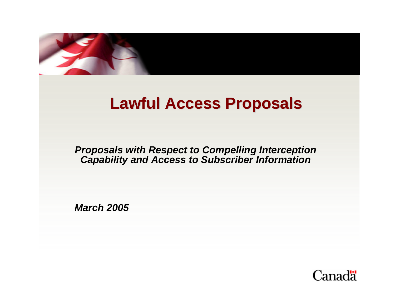

# **Lawful Access Proposals**

#### *Proposals with Respect to Compelling Interception Capability and Access to Subscriber Information*

*March 2005*

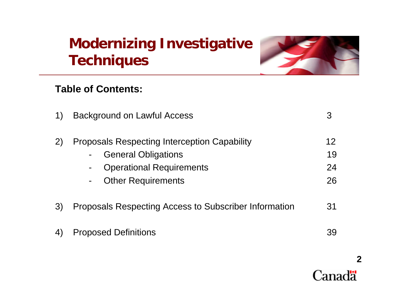# **Modernizing Investigative Techniques**



### **Table of Contents:**

| 1)  | <b>Background on Lawful Access</b>                                                                                                                                                                      | З                    |
|-----|---------------------------------------------------------------------------------------------------------------------------------------------------------------------------------------------------------|----------------------|
|     | <b>Proposals Respecting Interception Capability</b><br><b>General Obligations</b><br>$\blacksquare$<br><b>Operational Requirements</b><br>$\blacksquare$<br><b>Other Requirements</b><br>$\blacksquare$ | 12<br>19<br>24<br>26 |
| (3) | Proposals Respecting Access to Subscriber Information                                                                                                                                                   | 31                   |
| 4)  | <b>Proposed Definitions</b>                                                                                                                                                                             | 39                   |

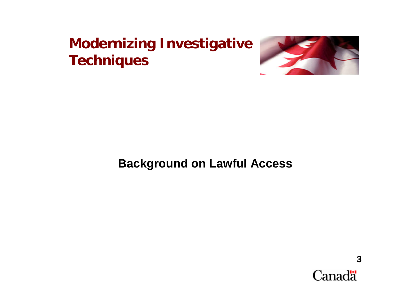## **Modernizing Investigative Techniques**



## **Background on Lawful Access**

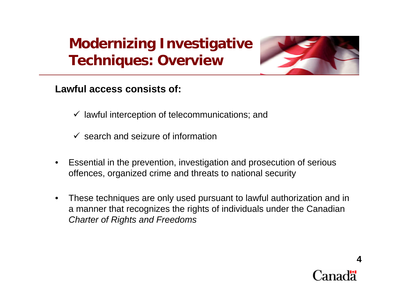

## **Lawful access consists of:**

- $\checkmark$  lawful interception of telecommunications; and
- $\checkmark$  search and seizure of information
- $\bullet$  Essential in the prevention, investigation and prosecution of serious offences, organized crime and threats to national security
- $\bullet$  These techniques are only used pursuant to lawful authorization and in a manner that recognizes the rights of individuals under the Canadian *Charter of Rights and Freedoms*

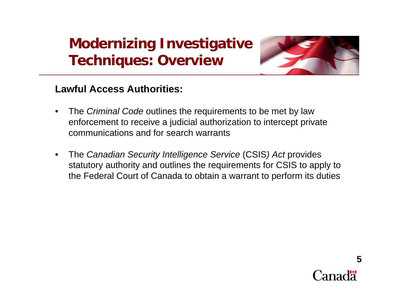

## **Lawful Access Authorities:**

- $\bullet$  The *Criminal Code* outlines the requirements to be met by law enforcement to receive a judicial authorization to intercept private communications and for search warrants
- $\bullet$  The *Canadian Security Intelligence Service* (CSIS*) Act* provides statutory authority and outlines the requirements for CSIS to apply to the Federal Court of Canada to obtain a warrant to perform its duties

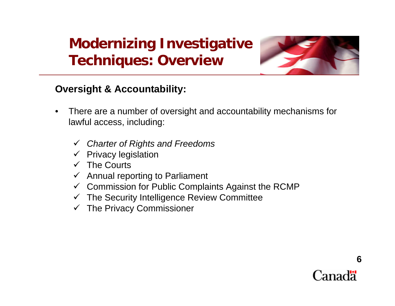

## **Oversight & Accountability:**

- $\bullet$  There are a number of oversight and accountability mechanisms for lawful access, including:
	- 9 *Charter of Rights and Freedoms*
	- $\checkmark$  Privacy legislation
	- $\checkmark$  The Courts
	- $\checkmark$  Annual reporting to Parliament
	- $\checkmark$  Commission for Public Complaints Against the RCMP
	- $\checkmark$  The Security Intelligence Review Committee
	- $\checkmark$  The Privacy Commissioner

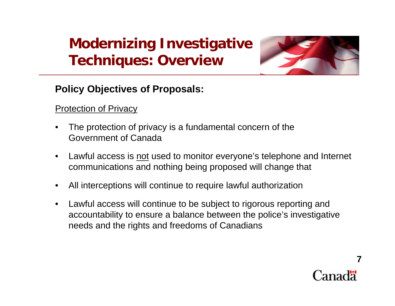

## **Policy Objectives of Proposals:**

**Protection of Privacy** 

- • The protection of privacy is a fundamental concern of the Government of Canada
- $\bullet$ Lawful access is <u>not</u> used to monitor everyone's telephone and Internet communications and nothing being proposed will change that
- •All interceptions will continue to require lawful authorization
- $\bullet$  Lawful access will continue to be subject to rigorous reporting and accountability to ensure a balance between the police's investigative needs and the rights and freedoms of Canadians

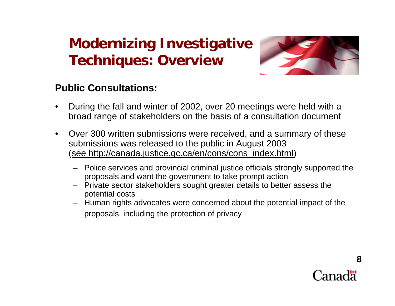

### **Public Consultations:**

- • During the fall and winter of 2002, over 20 meetings were held with a broad range of stakeholders on the basis of a consultation document
- $\bullet$  Over 300 written submissions were received, and a summary of these submissions was released to the public in August 2003 (see http://canada.justice.gc.ca/en/cons/cons\_index.html)
	- Police services and provincial criminal justice officials strongly supported the proposals and want the government to take prompt action
	- Private sector stakeholders sought greater details to better assess the potential costs
	- Human rights advocates were concerned about the potential impact of the proposals, including the protection of privacy

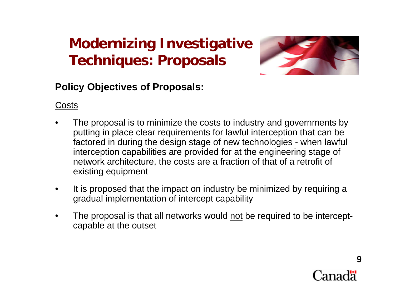

## **Policy Objectives of Proposals:**

Costs

- • The proposal is to minimize the costs to industry and governments by putting in place clear requirements for lawful interception that can be factored in during the design stage of new technologies - when lawful interception capabilities are provided for at the engineering stage of network architecture, the costs are a fraction of that of a retrofit of existing equipment
- • It is proposed that the impact on industry be minimized by requiring a gradual implementation of intercept capability
- • The proposal is that all networks would not be required to be interceptcapable at the outset

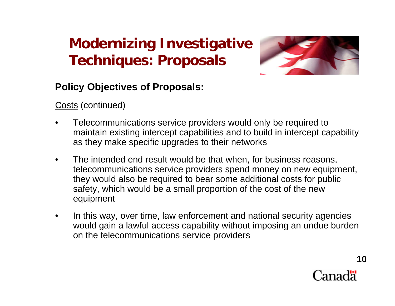

## **Policy Objectives of Proposals:**

<u>Costs</u> (continued)

- • Telecommunications service providers would only be required to maintain existing intercept capabilities and to build in intercept capability as they make specific upgrades to their networks
- $\bullet$  The intended end result would be that when, for business reasons, telecommunications service providers spend money on new equipment, they would also be required to bear some additional costs for public safety, which would be a small proportion of the cost of the new equipment
- • In this way, over time, law enforcement and national security agencies would gain a lawful access capability without imposing an undue burden on the telecommunications service providers



**10**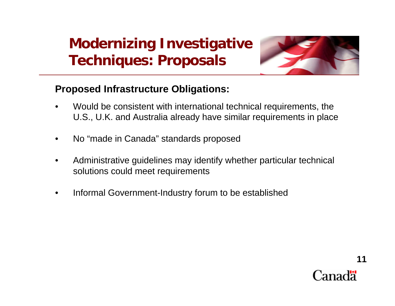

### **Proposed Infrastructure Obligations:**

- • Would be consistent with international technical requirements, the U.S., U.K. and Australia already have similar requirements in place
- •No "made in Canada" standards proposed
- • Administrative guidelines may identify whether particular technical solutions could meet requirements
- •Informal Government-Industry forum to be established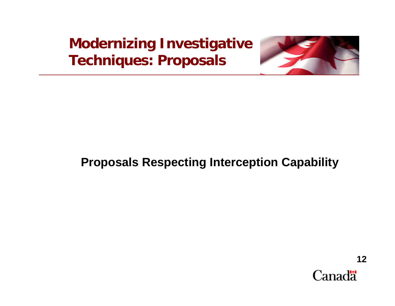

## **Proposals Respecting Interception Capability**

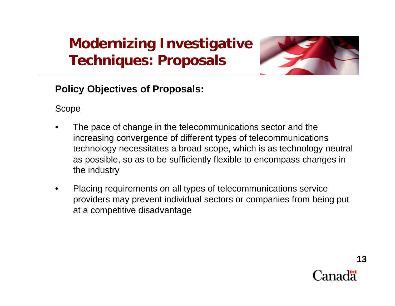

## **Policy Objectives of Proposals:**

### Scope

- • The pace of change in the telecommunications sector and the increasing convergence of different types of telecommunications technology necessitates a broad scope, which is as technology neutral as possible, so as to be sufficiently flexible to encompass changes in the industry
- • Placing requirements on all types of telecommunications service providers may prevent individual sectors or companies from being put at a competitive disadvantage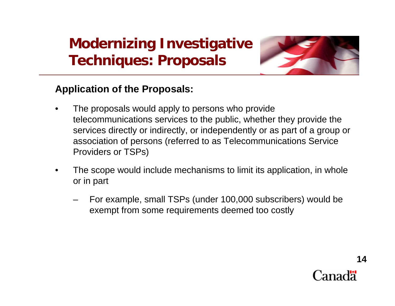

### **Application of the Proposals:**

- • The proposals would apply to persons who provide telecommunications services to the public, whether they provide the services directly or indirectly, or independently or as part of a group or association of persons (referred to as Telecommunications Service Providers or TSPs)
- • The scope would include mechanisms to limit its application, in whole or in part
	- For example, small TSPs (under 100,000 subscribers) would be exempt from some requirements deemed too costly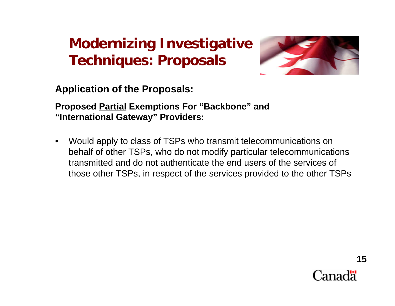

**Application of the Proposals:** 

**Proposed Partial Exemptions For "Backbone" and "International Gateway" Providers:**

• Would apply to class of TSPs who transmit telecommunications on behalf of other TSPs, who do not modify particular telecommunications transmitted and do not authenticate the end users of the services of those other TSPs, in respect of the services provided to the other TSPs

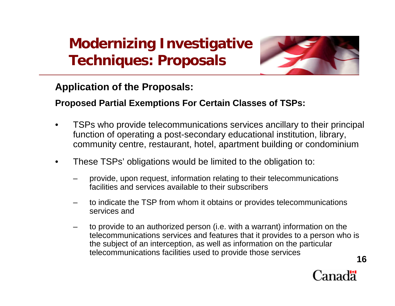

### **Application of the Proposals:**

#### **Proposed Partial Exemptions For Certain Classes of TSPs:**

- • TSPs who provide telecommunications services ancillary to their principal function of operating a post-secondary educational institution, library, community centre, restaurant, hotel, apartment building or condominium
- • These TSPs' obligations would be limited to the obligation to:
	- – provide, upon request, information relating to their telecommunications facilities and services available to their subscribers
	- to indicate the TSP from whom it obtains or provides telecommunications services and
	- to provide to an authorized person (i.e. with a warrant) information on the telecommunications services and features that it provides to a person who is the subject of an interception, as well as information on the particular telecommunications facilities used to provide those services **16**

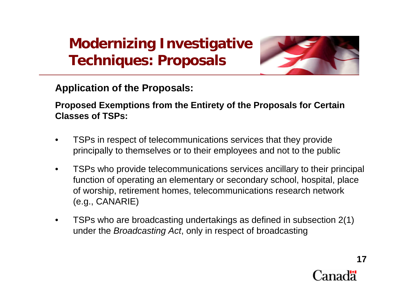

**Application of the Proposals:** 

**Proposed Exemptions from the Entirety of the Proposals for Certain Classes of TSPs:**

- • TSPs in respect of telecommunications services that they provide principally to themselves or to their employees and not to the public
- • TSPs who provide telecommunications services ancillary to their principal function of operating an elementary or secondary school, hospital, place of worship, retirement homes, telecommunications research network (e.g., CANARIE)
- • TSPs who are broadcasting undertakings as defined in subsection 2(1) under the *Broadcasting Act*, only in respect of broadcasting

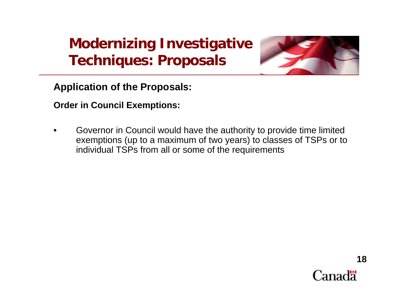

**Application of the Proposals:** 

**Order in Council Exemptions:**

• Governor in Council would have the authority to provide time limited exemptions (up to a maximum of two years) to classes of TSPs or to individual TSPs from all or some of the requirements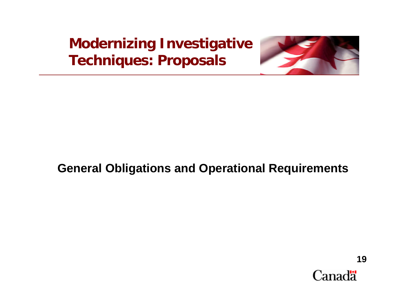

## **General Obligations and Operational Requirements**

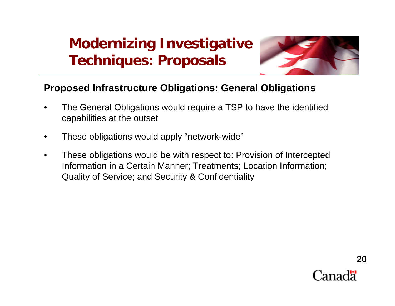

### **Proposed Infrastructure Obligations: General Obligations**

- • The General Obligations would require a TSP to have the identified capabilities at the outset
- •These obligations would apply "network-wide"
- $\bullet$  These obligations would be with respect to: Provision of Intercepted Information in a Certain Manner; Treatments; Location Information; Quality of Service; and Security & Confidentiality

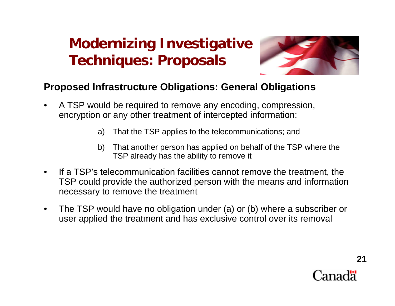

### **Proposed Infrastructure Obligations: General Obligations**

- $\bullet$  A TSP would be required to remove any encoding, compression, encryption or any other treatment of intercepted information:
	- a) That the TSP applies to the telecommunications; and
	- b) That another person has applied on behalf of the TSP where the TSP already has the ability to remove it
- $\bullet$  If a TSP's telecommunication facilities cannot remove the treatment, the TSP could provide the authorized person with the means and information necessary to remove the treatment
- $\bullet$  The TSP would have no obligation under (a) or (b) where a subscriber or user applied the treatment and has exclusive control over its removal

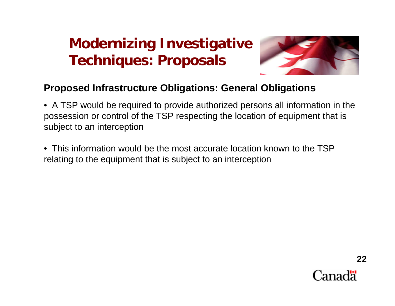

### **Proposed Infrastructure Obligations: General Obligations**

• A TSP would be required to provide authorized persons all information in the possession or control of the TSP respecting the location of equipment that is subject to an interception

• This information would be the most accurate location known to the TSP relating to the equipment that is subject to an interception

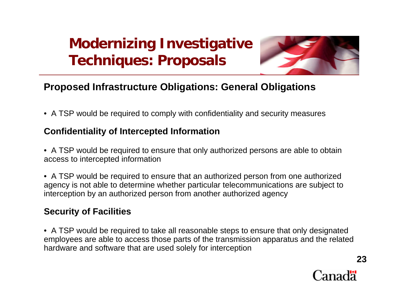

## **Proposed Infrastructure Obligations: General Obligations**

• A TSP would be required to comply with confidentiality and security measures

#### **Confidentiality of Intercepted Information**

- A TSP would be required to ensure that only authorized persons are able to obtain access to intercepted information
- A TSP would be required to ensure that an authorized person from one authorized agency is not able to determine whether particular telecommunications are subject to interception by an authorized person from another authorized agency

#### **Security of Facilities**

• A TSP would be required to take all reasonable steps to ensure that only designated employees are able to access those parts of the transmission apparatus and the related hardware and software that are used solely for interception



**23**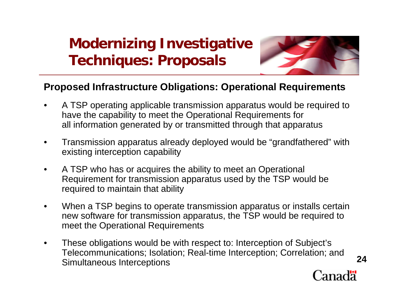

### **Proposed Infrastructure Obligations: Operational Requirements**

- $\bullet$  A TSP operating applicable transmission apparatus would be required to have the capability to meet the Operational Requirements for all information generated by or transmitted through that apparatus
- $\bullet$  Transmission apparatus already deployed would be "grandfathered" with existing interception capability
- $\bullet$  A TSP who has or acquires the ability to meet an Operational Requirement for transmission apparatus used by the TSP would be required to maintain that ability
- $\bullet$  When a TSP begins to operate transmission apparatus or installs certain new software for transmission apparatus, the TSP would be required to meet the Operational Requirements
- $\bullet$  These obligations would be with respect to: Interception of Subject's Telecommunications; Isolation; Real-time Interception; Correlation; and Simultaneous Interceptions **<sup>24</sup>**

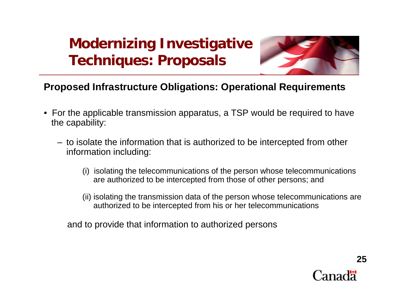

### **Proposed Infrastructure Obligations: Operational Requirements**

- For the applicable transmission apparatus, a TSP would be required to have the capability:
	- to isolate the information that is authorized to be intercepted from other information including:
		- (i) isolating the telecommunications of the person whose telecommunications are authorized to be intercepted from those of other persons; and
		- (ii) isolating the transmission data of the person whose telecommunications are authorized to be intercepted from his or her telecommunications

and to provide that information to authorized persons

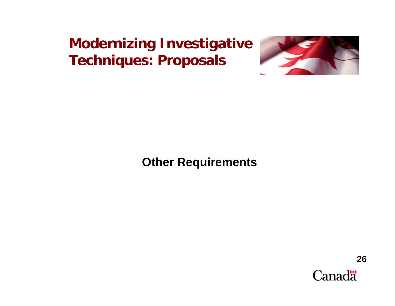

**Other Requirements**

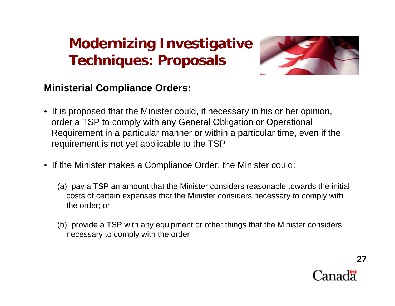

### **Ministerial Compliance Orders:**

- It is proposed that the Minister could, if necessary in his or her opinion, order a TSP to comply with any General Obligation or Operational Requirement in a particular manner or within a particular time, even if the requirement is not yet applicable to the TSP
- If the Minister makes a Compliance Order, the Minister could:
	- (a) pay a TSP an amount that the Minister considers reasonable towards the initial costs of certain expenses that the Minister considers necessary to comply with the order; or
	- (b) provide a TSP with any equipment or other things that the Minister considers necessary to comply with the order

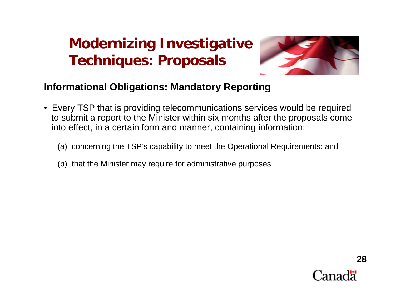

## **Informational Obligations: Mandatory Reporting**

- Every TSP that is providing telecommunications services would be required to submit a report to the Minister within six months after the proposals come into effect, in a certain form and manner, containing information:
	- (a) concerning the TSP's capability to meet the Operational Requirements; and
	- (b) that the Minister may require for administrative purposes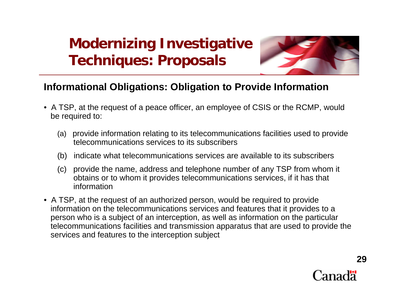

### **Informational Obligations: Obligation to Provide Information**

- A TSP, at the request of a peace officer, an employee of CSIS or the RCMP, would be required to:
	- (a) provide information relating to its telecommunications facilities used to provide telecommunications services to its subscribers
	- (b) indicate what telecommunications services are available to its subscribers
	- (c) provide the name, address and telephone number of any TSP from whom it obtains or to whom it provides telecommunications services, if it has that information
- A TSP, at the request of an authorized person, would be required to provide information on the telecommunications services and features that it provides to a person who is a subject of an interception, as well as information on the particular telecommunications facilities and transmission apparatus that are used to provide the services and features to the interception subject

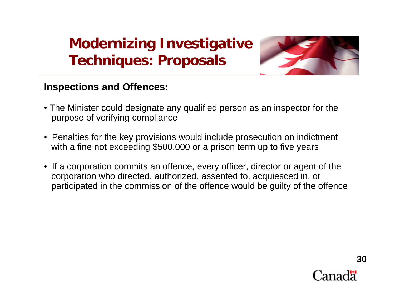

### **Inspections and Offences:**

- The Minister could designate any qualified person as an inspector for the purpose of verifying compliance
- Penalties for the key provisions would include prosecution on indictment with a fine not exceeding \$500,000 or a prison term up to five years
- If a corporation commits an offence, every officer, director or agent of the corporation who directed, authorized, assented to, acquiesced in, or participated in the commission of the offence would be guilty of the offence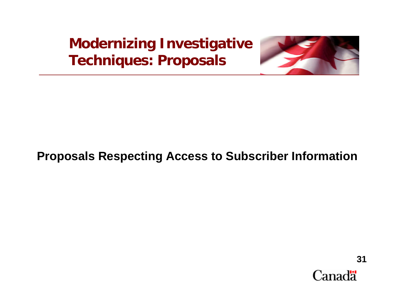

## **Proposals Respecting Access to Subscriber Information**

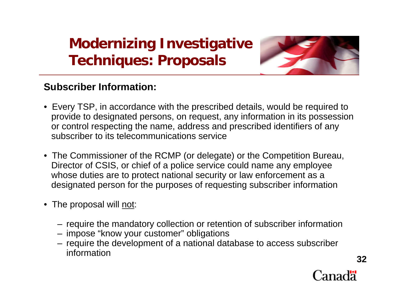

## **Subscriber Information:**

- Every TSP, in accordance with the prescribed details, would be required to provide to designated persons, on request, any information in its possession or control respecting the name, address and prescribed identifiers of any subscriber to its telecommunications service
- The Commissioner of the RCMP (or delegate) or the Competition Bureau, Director of CSIS, or chief of a police service could name any employee whose duties are to protect national security or law enforcement as a designated person for the purposes of requesting subscriber information
- The proposal will <u>not</u>:
	- require the mandatory collection or retention of subscriber information
	- impose "know your customer" obligations
	- require the development of a national database to access subscriber information**32**

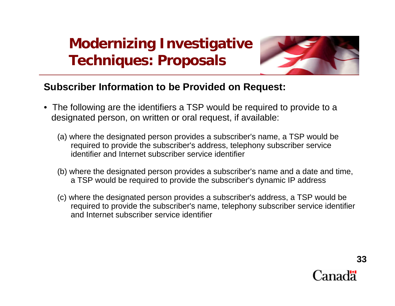

### **Subscriber Information to be Provided on Request:**

- The following are the identifiers a TSP would be required to provide to a designated person, on written or oral request, if available:
	- (a) where the designated person provides a subscriber's name, a TSP would be required to provide the subscriber's address, telephony subscriber service identifier and Internet subscriber service identifier
	- (b) where the designated person provides a subscriber's name and a date and time, a TSP would be required to provide the subscriber's dynamic IP address
	- (c) where the designated person provides a subscriber's address, a TSP would be required to provide the subscriber's name, telephony subscriber service identifier and Internet subscriber service identifier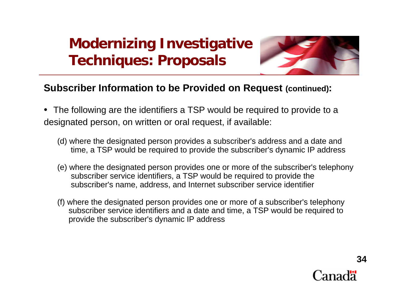

### **Subscriber Information to be Provided on Request (continued):**

- The following are the identifiers a TSP would be required to provide to a designated person, on written or oral request, if available:
	- (d) where the designated person provides a subscriber's address and a date and time, a TSP would be required to provide the subscriber's dynamic IP address
	- (e) where the designated person provides one or more of the subscriber's telephony subscriber service identifiers, a TSP would be required to provide the subscriber's name, address, and Internet subscriber service identifier
	- (f) where the designated person provides one or more of a subscriber's telephony subscriber service identifiers and a date and time, a TSP would be required to provide the subscriber's dynamic IP address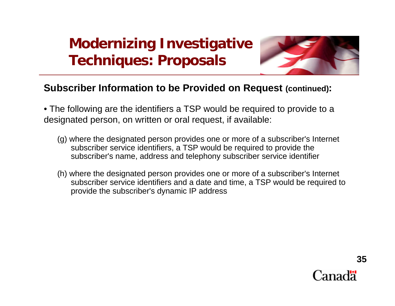

### **Subscriber Information to be Provided on Request (continued):**

• The following are the identifiers a TSP would be required to provide to a designated person, on written or oral request, if available:

- (g) where the designated person provides one or more of a subscriber's Internet subscriber service identifiers, a TSP would be required to provide the subscriber's name, address and telephony subscriber service identifier
- (h) where the designated person provides one or more of a subscriber's Internet subscriber service identifiers and a date and time, a TSP would be required to provide the subscriber's dynamic IP address

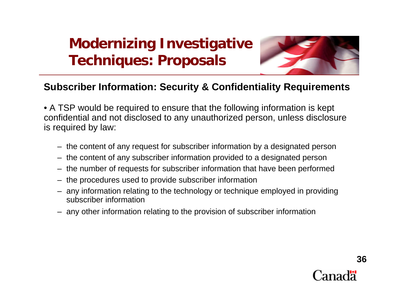

### **Subscriber Information: Security & Confidentiality Requirements**

• A TSP would be required to ensure that the following information is kept confidential and not disclosed to any unauthorized person, unless disclosure is required by law:

- the content of any request for subscriber information by a designated person
- the content of any subscriber information provided to a designated person
- the number of requests for subscriber information that have been performed
- the procedures used to provide subscriber information
- any information relating to the technology or technique employed in providing subscriber information
- any other information relating to the provision of subscriber information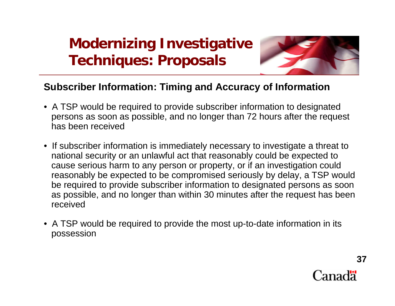

### **Subscriber Information: Timing and Accuracy of Information**

- A TSP would be required to provide subscriber information to designated persons as soon as possible, and no longer than 72 hours after the request has been received
- If subscriber information is immediately necessary to investigate a threat to national security or an unlawful act that reasonably could be expected to cause serious harm to any person or property, or if an investigation could reasonably be expected to be compromised seriously by delay, a TSP would be required to provide subscriber information to designated persons as soon as possible, and no longer than within 30 minutes after the request has been received
- A TSP would be required to provide the most up-to-date information in its possession

**37**Canadä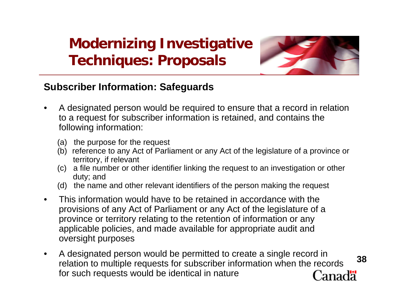

### **Subscriber Information: Safeguards**

- • A designated person would be required to ensure that a record in relation to a request for subscriber information is retained, and contains the following information:
	- (a) the purpose for the request
	- (b) reference to any Act of Parliament or any Act of the legislature of a province or territory, if relevant
	- (c) a file number or other identifier linking the request to an investigation or other duty; and
	- (d) the name and other relevant identifiers of the person making the request
- $\bullet$  This information would have to be retained in accordance with the provisions of any Act of Parliament or any Act of the legislature of a province or territory relating to the retention of information or any applicable policies, and made available for appropriate audit and oversight purposes
- A designated person would be permitted to create a single record in  $\bullet$ **38**relation to multiple requests for subscriber information when the records for such requests would be identical in nature Canadä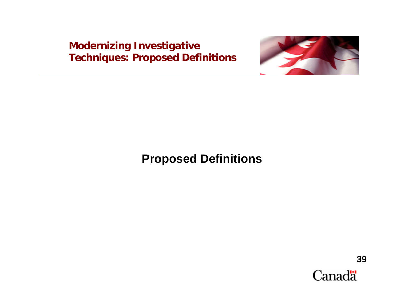

## **Proposed Definitions**

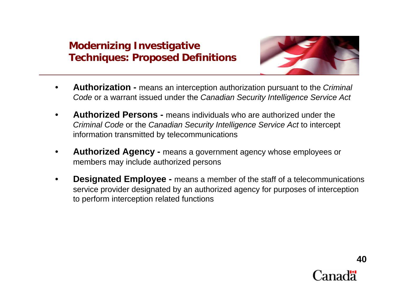

- • **Authorization -** means an interception authorization pursuant to the *Criminal Code* or a warrant issued under the *Canadian Security Intelligence Service Act*
- • **Authorized Persons -** means individuals who are authorized under the *Criminal Code* or the *Canadian Security Intelligence Service Act* to intercept information transmitted by telecommunications
- • **Authorized Agency -** means a government agency whose employees or members may include authorized persons
- • **Designated Employee -** means a member of the staff of a telecommunications service provider designated by an authorized agency for purposes of interception to perform interception related functions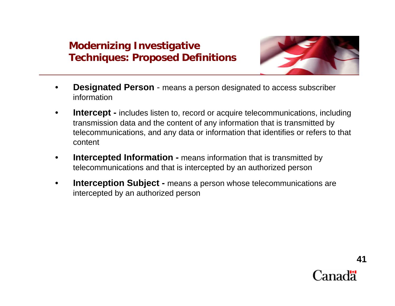

- • **Designated Person** - means a person designated to access subscriber information
- •**Intercept -** includes listen to, record or acquire telecommunications, including transmission data and the content of any information that is transmitted by telecommunications, and any data or information that identifies or refers to that content
- •**Intercepted Information -** means information that is transmitted by telecommunications and that is intercepted by an authorized person
- $\bullet$ **Interception Subject -** means a person whose telecommunications are intercepted by an authorized person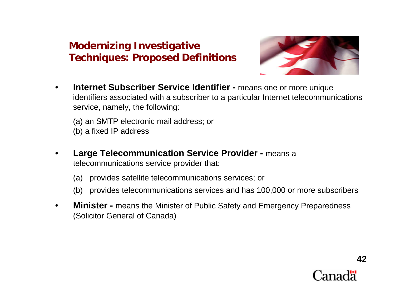

- • **Internet Subscriber Service Identifier -** means one or more unique identifiers associated with a subscriber to a particular Internet telecommunications service, namely, the following:
	- (a) an SMTP electronic mail address; or
	- (b) a fixed IP address
- • **Large Telecommunication Service Provider -** means a telecommunications service provider that:
	- (a) provides satellite telecommunications services; or
	- (b) provides telecommunications services and has 100,000 or more subscribers
- • **Minister -** means the Minister of Public Safety and Emergency Preparedness (Solicitor General of Canada)

**42**Canadä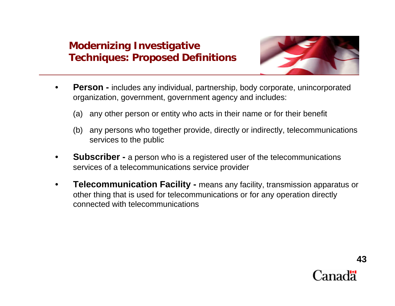

- • **Person -** includes any individual, partnership, body corporate, unincorporated organization, government, government agency and includes:
	- (a) any other person or entity who acts in their name or for their benefit
	- (b) any persons who together provide, directly or indirectly, telecommunications services to the public
- • **Subscriber -** a person who is a registered user of the telecommunications services of a telecommunications service provider
- • **Telecommunication Facility -** means any facility, transmission apparatus or other thing that is used for telecommunications or for any operation directly connected with telecommunications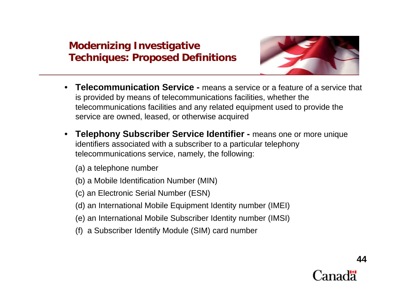

- • **Telecommunication Service -** means a service or a feature of a service that is provided by means of telecommunications facilities, whether the telecommunications facilities and any related equipment used to provide the service are owned, leased, or otherwise acquired
- $\bullet$  **Telephony Subscriber Service Identifier -** means one or more unique identifiers associated with a subscriber to a particular telephony telecommunications service, namely, the following:

(a) a telephone number

- (b) a Mobile Identification Number (MIN)
- (c) an Electronic Serial Number (ESN)
- (d) an International Mobile Equipment Identity number (IMEI)
- (e) an International Mobile Subscriber Identity number (IMSI)
- (f) a Subscriber Identify Module (SIM) card number

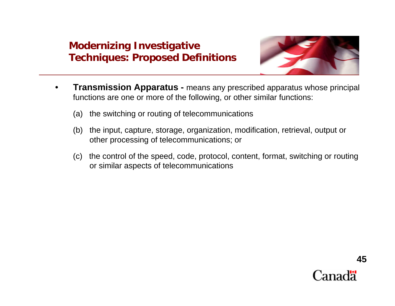

- $\bullet$  **Transmission Apparatus -** means any prescribed apparatus whose principal functions are one or more of the following, or other similar functions:
	- (a) the switching or routing of telecommunications
	- (b) the input, capture, storage, organization, modification, retrieval, output or other processing of telecommunications; or
	- (c) the control of the speed, code, protocol, content, format, switching or routing or similar aspects of telecommunications